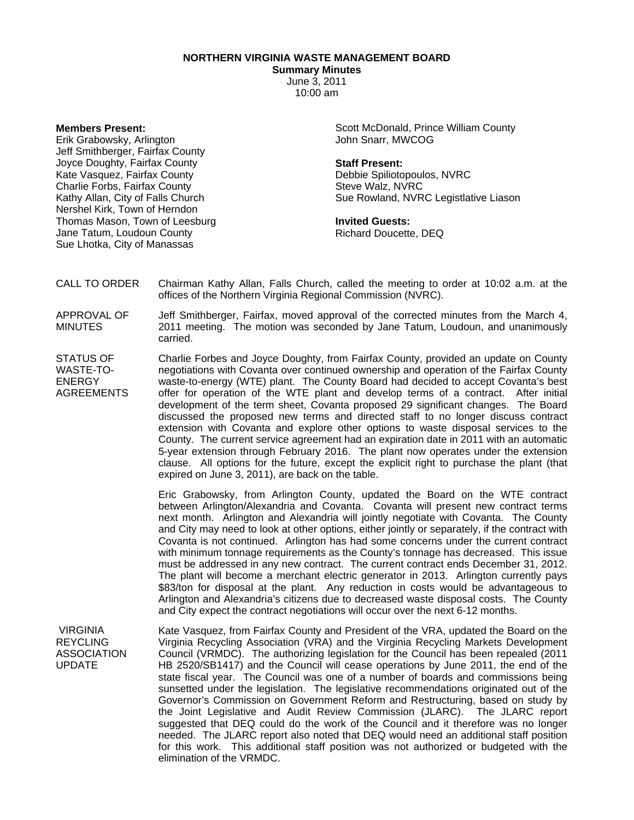**NORTHERN VIRGINIA WASTE MANAGEMENT BOARD** 

**Summary Minutes** 

June 3, 2011 10:00 am

**Members Present:** 

Erik Grabowsky, Arlington Jeff Smithberger, Fairfax County Joyce Doughty, Fairfax County Kate Vasquez, Fairfax County Charlie Forbs, Fairfax County Kathy Allan, City of Falls Church Nershel Kirk, Town of Herndon Thomas Mason, Town of Leesburg Jane Tatum, Loudoun County Sue Lhotka, City of Manassas

Scott McDonald, Prince William County John Snarr, MWCOG

## **Staff Present:**

Debbie Spiliotopoulos, NVRC Steve Walz, NVRC Sue Rowland, NVRC Legistlative Liason

## **Invited Guests:**

Richard Doucette, DEQ

CALL TO ORDER Chairman Kathy Allan, Falls Church, called the meeting to order at 10:02 a.m. at the offices of the Northern Virginia Regional Commission (NVRC).

APPROVAL OF MINUTES Jeff Smithberger, Fairfax, moved approval of the corrected minutes from the March 4, 2011 meeting. The motion was seconded by Jane Tatum, Loudoun, and unanimously carried.

STATUS OF WASTE-TO-ENERGY AGREEMENTS Charlie Forbes and Joyce Doughty, from Fairfax County, provided an update on County negotiations with Covanta over continued ownership and operation of the Fairfax County waste-to-energy (WTE) plant. The County Board had decided to accept Covanta's best offer for operation of the WTE plant and develop terms of a contract. After initial development of the term sheet, Covanta proposed 29 significant changes. The Board discussed the proposed new terms and directed staff to no longer discuss contract extension with Covanta and explore other options to waste disposal services to the County. The current service agreement had an expiration date in 2011 with an automatic 5-year extension through February 2016. The plant now operates under the extension clause. All options for the future, except the explicit right to purchase the plant (that expired on June 3, 2011), are back on the table.

> Eric Grabowsky, from Arlington County, updated the Board on the WTE contract between Arlington/Alexandria and Covanta. Covanta will present new contract terms next month. Arlington and Alexandria will jointly negotiate with Covanta. The County and City may need to look at other options, either jointly or separately, if the contract with Covanta is not continued. Arlington has had some concerns under the current contract with minimum tonnage requirements as the County's tonnage has decreased. This issue must be addressed in any new contract. The current contract ends December 31, 2012. The plant will become a merchant electric generator in 2013. Arlington currently pays \$83/ton for disposal at the plant. Any reduction in costs would be advantageous to Arlington and Alexandria's citizens due to decreased waste disposal costs. The County and City expect the contract negotiations will occur over the next 6-12 months.

 VIRGINIA REYCLING ASSOCIATION UPDATE

Kate Vasquez, from Fairfax County and President of the VRA, updated the Board on the Virginia Recycling Association (VRA) and the Virginia Recycling Markets Development Council (VRMDC). The authorizing legislation for the Council has been repealed (2011 HB 2520/SB1417) and the Council will cease operations by June 2011, the end of the state fiscal year. The Council was one of a number of boards and commissions being sunsetted under the legislation. The legislative recommendations originated out of the Governor's Commission on Government Reform and Restructuring, based on study by the Joint Legislative and Audit Review Commission (JLARC). The JLARC report suggested that DEQ could do the work of the Council and it therefore was no longer needed. The JLARC report also noted that DEQ would need an additional staff position for this work. This additional staff position was not authorized or budgeted with the elimination of the VRMDC.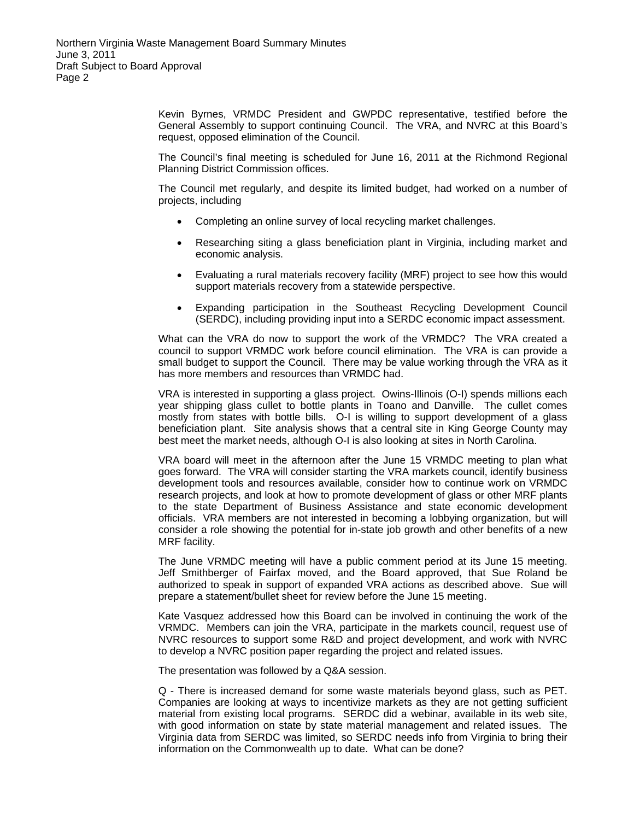Kevin Byrnes, VRMDC President and GWPDC representative, testified before the General Assembly to support continuing Council. The VRA, and NVRC at this Board's request, opposed elimination of the Council.

The Council's final meeting is scheduled for June 16, 2011 at the Richmond Regional Planning District Commission offices.

The Council met regularly, and despite its limited budget, had worked on a number of projects, including

- Completing an online survey of local recycling market challenges.
- Researching siting a glass beneficiation plant in Virginia, including market and economic analysis.
- Evaluating a rural materials recovery facility (MRF) project to see how this would support materials recovery from a statewide perspective.
- Expanding participation in the Southeast Recycling Development Council (SERDC), including providing input into a SERDC economic impact assessment.

What can the VRA do now to support the work of the VRMDC? The VRA created a council to support VRMDC work before council elimination. The VRA is can provide a small budget to support the Council. There may be value working through the VRA as it has more members and resources than VRMDC had.

VRA is interested in supporting a glass project. Owins-Illinois (O-I) spends millions each year shipping glass cullet to bottle plants in Toano and Danville. The cullet comes mostly from states with bottle bills. O-I is willing to support development of a glass beneficiation plant. Site analysis shows that a central site in King George County may best meet the market needs, although O-I is also looking at sites in North Carolina.

VRA board will meet in the afternoon after the June 15 VRMDC meeting to plan what goes forward. The VRA will consider starting the VRA markets council, identify business development tools and resources available, consider how to continue work on VRMDC research projects, and look at how to promote development of glass or other MRF plants to the state Department of Business Assistance and state economic development officials. VRA members are not interested in becoming a lobbying organization, but will consider a role showing the potential for in-state job growth and other benefits of a new MRF facility.

The June VRMDC meeting will have a public comment period at its June 15 meeting. Jeff Smithberger of Fairfax moved, and the Board approved, that Sue Roland be authorized to speak in support of expanded VRA actions as described above. Sue will prepare a statement/bullet sheet for review before the June 15 meeting.

Kate Vasquez addressed how this Board can be involved in continuing the work of the VRMDC. Members can join the VRA, participate in the markets council, request use of NVRC resources to support some R&D and project development, and work with NVRC to develop a NVRC position paper regarding the project and related issues.

The presentation was followed by a Q&A session.

Q - There is increased demand for some waste materials beyond glass, such as PET. Companies are looking at ways to incentivize markets as they are not getting sufficient material from existing local programs. SERDC did a webinar, available in its web site, with good information on state by state material management and related issues. The Virginia data from SERDC was limited, so SERDC needs info from Virginia to bring their information on the Commonwealth up to date. What can be done?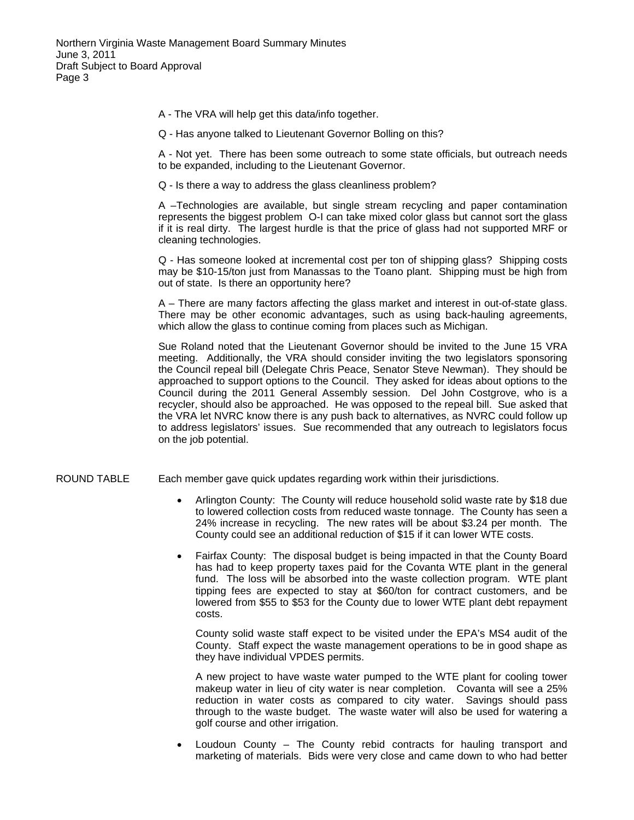- A The VRA will help get this data/info together.
- Q Has anyone talked to Lieutenant Governor Bolling on this?

A - Not yet. There has been some outreach to some state officials, but outreach needs to be expanded, including to the Lieutenant Governor.

Q - Is there a way to address the glass cleanliness problem?

A –Technologies are available, but single stream recycling and paper contamination represents the biggest problem O-I can take mixed color glass but cannot sort the glass if it is real dirty. The largest hurdle is that the price of glass had not supported MRF or cleaning technologies.

Q - Has someone looked at incremental cost per ton of shipping glass? Shipping costs may be \$10-15/ton just from Manassas to the Toano plant. Shipping must be high from out of state. Is there an opportunity here?

A – There are many factors affecting the glass market and interest in out-of-state glass. There may be other economic advantages, such as using back-hauling agreements, which allow the glass to continue coming from places such as Michigan.

Sue Roland noted that the Lieutenant Governor should be invited to the June 15 VRA meeting. Additionally, the VRA should consider inviting the two legislators sponsoring the Council repeal bill (Delegate Chris Peace, Senator Steve Newman). They should be approached to support options to the Council. They asked for ideas about options to the Council during the 2011 General Assembly session. Del John Costgrove, who is a recycler, should also be approached. He was opposed to the repeal bill. Sue asked that the VRA let NVRC know there is any push back to alternatives, as NVRC could follow up to address legislators' issues. Sue recommended that any outreach to legislators focus on the job potential.

- ROUND TABLE Each member gave quick updates regarding work within their jurisdictions.
	- Arlington County: The County will reduce household solid waste rate by \$18 due to lowered collection costs from reduced waste tonnage. The County has seen a 24% increase in recycling. The new rates will be about \$3.24 per month. The County could see an additional reduction of \$15 if it can lower WTE costs.
	- Fairfax County: The disposal budget is being impacted in that the County Board has had to keep property taxes paid for the Covanta WTE plant in the general fund. The loss will be absorbed into the waste collection program. WTE plant tipping fees are expected to stay at \$60/ton for contract customers, and be lowered from \$55 to \$53 for the County due to lower WTE plant debt repayment costs.

County solid waste staff expect to be visited under the EPA's MS4 audit of the County. Staff expect the waste management operations to be in good shape as they have individual VPDES permits.

A new project to have waste water pumped to the WTE plant for cooling tower makeup water in lieu of city water is near completion. Covanta will see a 25% reduction in water costs as compared to city water. Savings should pass through to the waste budget. The waste water will also be used for watering a golf course and other irrigation.

Loudoun County  $-$  The County rebid contracts for hauling transport and marketing of materials. Bids were very close and came down to who had better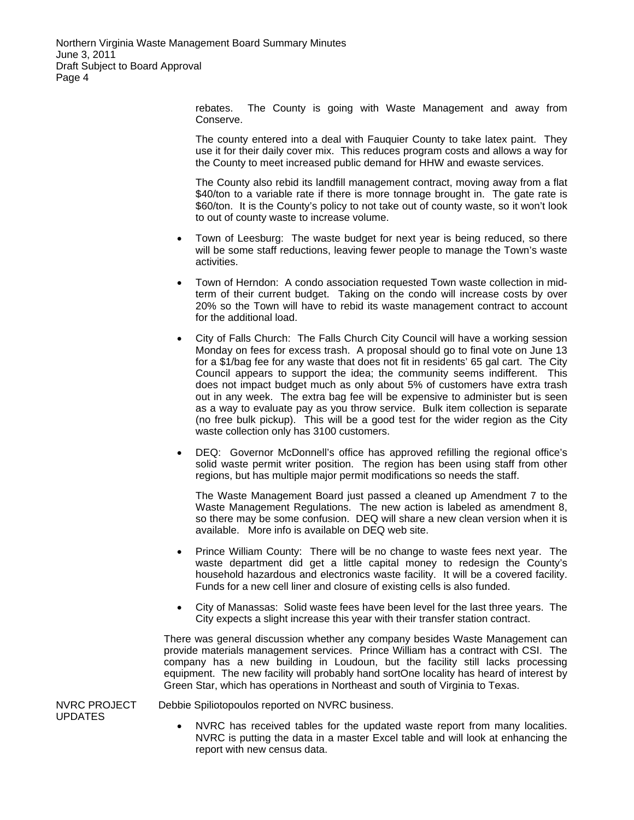Northern Virginia Waste Management Board Summary Minutes June 3, 2011 Draft Subject to Board Approval Page 4

> rebates. The County is going with Waste Management and away from Conserve.

> The county entered into a deal with Fauquier County to take latex paint. They use it for their daily cover mix. This reduces program costs and allows a way for the County to meet increased public demand for HHW and ewaste services.

> The County also rebid its landfill management contract, moving away from a flat \$40/ton to a variable rate if there is more tonnage brought in. The gate rate is \$60/ton. It is the County's policy to not take out of county waste, so it won't look to out of county waste to increase volume.

- Town of Leesburg: The waste budget for next year is being reduced, so there will be some staff reductions, leaving fewer people to manage the Town's waste activities.
- Town of Herndon: A condo association requested Town waste collection in midterm of their current budget. Taking on the condo will increase costs by over 20% so the Town will have to rebid its waste management contract to account for the additional load.
- City of Falls Church: The Falls Church City Council will have a working session Monday on fees for excess trash. A proposal should go to final vote on June 13 for a \$1/bag fee for any waste that does not fit in residents' 65 gal cart. The City Council appears to support the idea; the community seems indifferent. This does not impact budget much as only about 5% of customers have extra trash out in any week. The extra bag fee will be expensive to administer but is seen as a way to evaluate pay as you throw service. Bulk item collection is separate (no free bulk pickup). This will be a good test for the wider region as the City waste collection only has 3100 customers.
- DEQ: Governor McDonnell's office has approved refilling the regional office's solid waste permit writer position. The region has been using staff from other regions, but has multiple major permit modifications so needs the staff.

The Waste Management Board just passed a cleaned up Amendment 7 to the Waste Management Regulations. The new action is labeled as amendment 8, so there may be some confusion. DEQ will share a new clean version when it is available. More info is available on DEQ web site.

- Prince William County: There will be no change to waste fees next year. The waste department did get a little capital money to redesign the County's household hazardous and electronics waste facility. It will be a covered facility. Funds for a new cell liner and closure of existing cells is also funded.
- City of Manassas: Solid waste fees have been level for the last three years. The City expects a slight increase this year with their transfer station contract.

There was general discussion whether any company besides Waste Management can provide materials management services. Prince William has a contract with CSI. The company has a new building in Loudoun, but the facility still lacks processing equipment. The new facility will probably hand sortOne locality has heard of interest by Green Star, which has operations in Northeast and south of Virginia to Texas.

NVRC PROJECT UPDATES

- Debbie Spiliotopoulos reported on NVRC business.
	- NVRC has received tables for the updated waste report from many localities. NVRC is putting the data in a master Excel table and will look at enhancing the report with new census data.